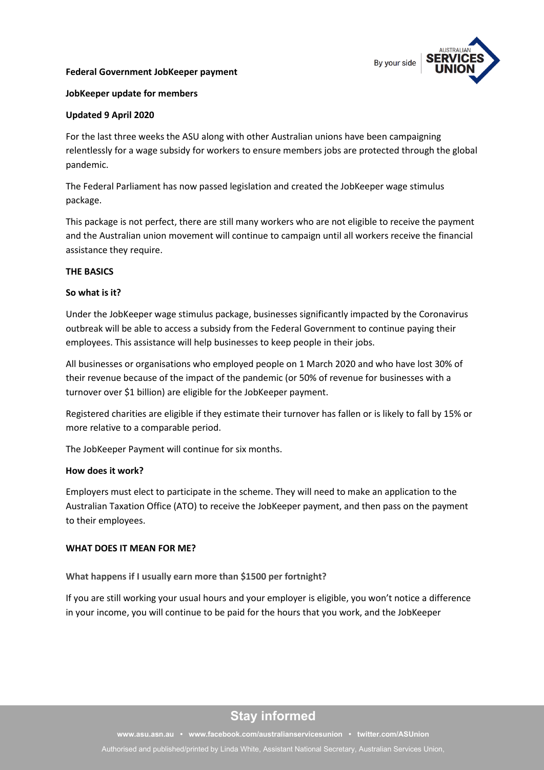#### **Federal Government JobKeeper payment**



#### **JobKeeper update for members**

#### **Updated 9 April 2020**

For the last three weeks the ASU along with other Australian unions have been campaigning relentlessly for a wage subsidy for workers to ensure members jobs are protected through the global pandemic.

The Federal Parliament has now passed legislation and created the JobKeeper wage stimulus package.

This package is not perfect, there are still many workers who are not eligible to receive the payment and the Australian union movement will continue to campaign until all workers receive the financial assistance they require.

#### **THE BASICS**

#### **So what is it?**

Under the JobKeeper wage stimulus package, businesses significantly impacted by the Coronavirus outbreak will be able to access a subsidy from the Federal Government to continue paying their employees. This assistance will help businesses to keep people in their jobs.

All businesses or organisations who employed people on 1 March 2020 and who have lost 30% of their revenue because of the impact of the pandemic (or 50% of revenue for businesses with a turnover over \$1 billion) are eligible for the JobKeeper payment.

Registered charities are eligible if they estimate their turnover has fallen or is likely to fall by 15% or more relative to a comparable period.

The JobKeeper Payment will continue for six months.

#### **How does it work?**

Employers must elect to participate in the scheme. They will need to make an application to the Australian Taxation Office (ATO) to receive the JobKeeper payment, and then pass on the payment to their employees.

#### **WHAT DOES IT MEAN FOR ME?**

**What happens if I usually earn more than \$1500 per fortnight?**

If you are still working your usual hours and your employer is eligible, you won't notice a difference in your income, you will continue to be paid for the hours that you work, and the JobKeeper

## **Stay informed**

**[www.asu.asn.au](http://www.asu.asn.au/airlines) • [www.facebook.com/australianservicesunion](http://www.facebook.com/australianservicesunion) • [twitter.com/ASUnion](https://twitter.com/ASUairlines)**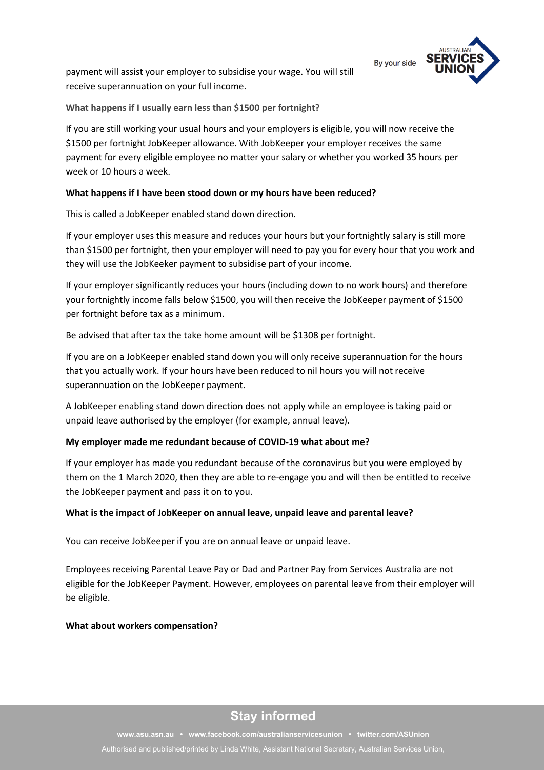payment will assist your employer to subsidise your wage. You will still receive superannuation on your full income.



**What happens if I usually earn less than \$1500 per fortnight?**

If you are still working your usual hours and your employers is eligible, you will now receive the \$1500 per fortnight JobKeeper allowance. With JobKeeper your employer receives the same payment for every eligible employee no matter your salary or whether you worked 35 hours per week or 10 hours a week.

## **What happens if I have been stood down or my hours have been reduced?**

This is called a JobKeeper enabled stand down direction.

If your employer uses this measure and reduces your hours but your fortnightly salary is still more than \$1500 per fortnight, then your employer will need to pay you for every hour that you work and they will use the JobKeeker payment to subsidise part of your income.

If your employer significantly reduces your hours (including down to no work hours) and therefore your fortnightly income falls below \$1500, you will then receive the JobKeeper payment of \$1500 per fortnight before tax as a minimum.

Be advised that after tax the take home amount will be \$1308 per fortnight.

If you are on a JobKeeper enabled stand down you will only receive superannuation for the hours that you actually work. If your hours have been reduced to nil hours you will not receive superannuation on the JobKeeper payment.

A JobKeeper enabling stand down direction does not apply while an employee is taking paid or unpaid leave authorised by the employer (for example, annual leave).

## **My employer made me redundant because of COVID-19 what about me?**

If your employer has made you redundant because of the coronavirus but you were employed by them on the 1 March 2020, then they are able to re-engage you and will then be entitled to receive the JobKeeper payment and pass it on to you.

## **What is the impact of JobKeeper on annual leave, unpaid leave and parental leave?**

You can receive JobKeeper if you are on annual leave or unpaid leave.

Employees receiving Parental Leave Pay or Dad and Partner Pay from Services Australia are not eligible for the JobKeeper Payment. However, employees on parental leave from their employer will be eligible.

## **What about workers compensation?**

# **Stay informed**

**[www.asu.asn.au](http://www.asu.asn.au/airlines) • [www.facebook.com/australianservicesunion](http://www.facebook.com/australianservicesunion) • [twitter.com/ASUnion](https://twitter.com/ASUairlines)** Authorised and published/printed by Linda White, Assistant National Secretary, Australian Services Union,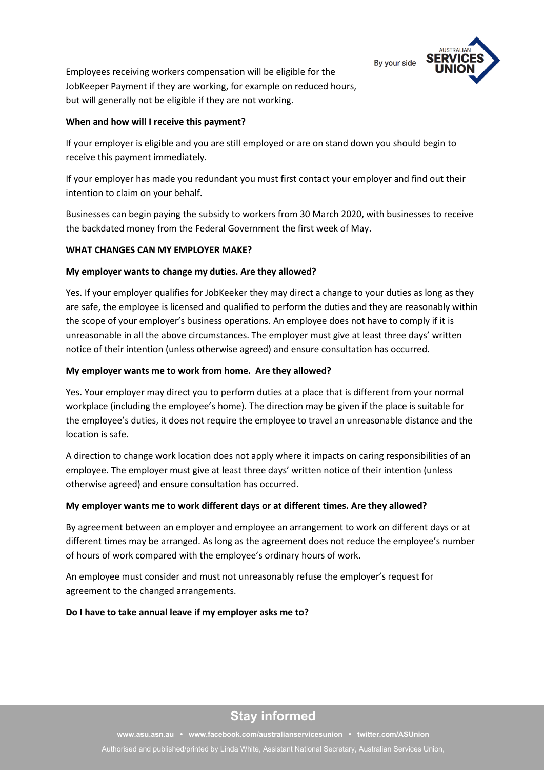By your side



Employees receiving workers compensation will be eligible for the JobKeeper Payment if they are working, for example on reduced hours, but will generally not be eligible if they are not working.

## **When and how will I receive this payment?**

If your employer is eligible and you are still employed or are on stand down you should begin to receive this payment immediately.

If your employer has made you redundant you must first contact your employer and find out their intention to claim on your behalf.

Businesses can begin paying the subsidy to workers from 30 March 2020, with businesses to receive the backdated money from the Federal Government the first week of May.

## **WHAT CHANGES CAN MY EMPLOYER MAKE?**

#### **My employer wants to change my duties. Are they allowed?**

Yes. If your employer qualifies for JobKeeker they may direct a change to your duties as long as they are safe, the employee is licensed and qualified to perform the duties and they are reasonably within the scope of your employer's business operations. An employee does not have to comply if it is unreasonable in all the above circumstances. The employer must give at least three days' written notice of their intention (unless otherwise agreed) and ensure consultation has occurred.

#### **My employer wants me to work from home. Are they allowed?**

Yes. Your employer may direct you to perform duties at a place that is different from your normal workplace (including the employee's home). The direction may be given if the place is suitable for the employee's duties, it does not require the employee to travel an unreasonable distance and the location is safe.

A direction to change work location does not apply where it impacts on caring responsibilities of an employee. The employer must give at least three days' written notice of their intention (unless otherwise agreed) and ensure consultation has occurred.

#### **My employer wants me to work different days or at different times. Are they allowed?**

By agreement between an employer and employee an arrangement to work on different days or at different times may be arranged. As long as the agreement does not reduce the employee's number of hours of work compared with the employee's ordinary hours of work.

An employee must consider and must not unreasonably refuse the employer's request for agreement to the changed arrangements.

#### **Do I have to take annual leave if my employer asks me to?**

# **Stay informed**

**[www.asu.asn.au](http://www.asu.asn.au/airlines) • [www.facebook.com/australianservicesunion](http://www.facebook.com/australianservicesunion) • [twitter.com/ASUnion](https://twitter.com/ASUairlines)**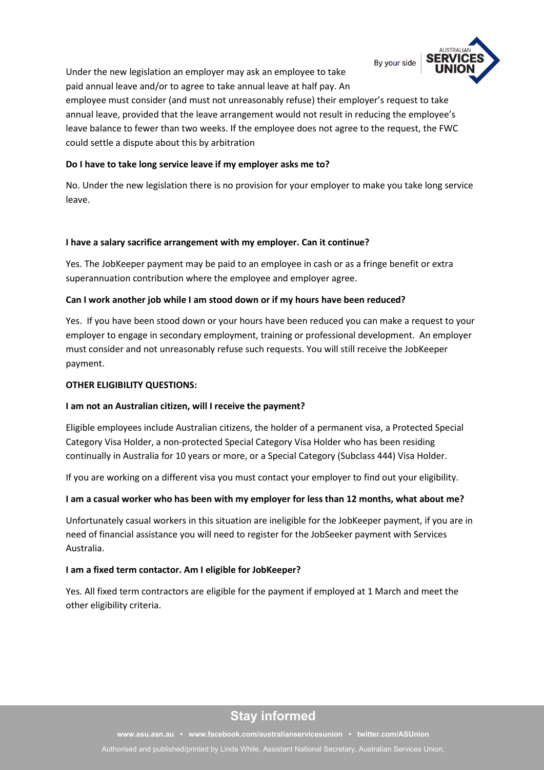By your side



Under the new legislation an employer may ask an employee to take paid annual leave and/or to agree to take annual leave at half pay. An

employee must consider (and must not unreasonably refuse) their employer's request to take annual leave, provided that the leave arrangement would not result in reducing the employee's leave balance to fewer than two weeks. If the employee does not agree to the request, the FWC could settle a dispute about this by arbitration

## **Do I have to take long service leave if my employer asks me to?**

No. Under the new legislation there is no provision for your employer to make you take long service leave.

## **I have a salary sacrifice arrangement with my employer. Can it continue?**

Yes. The JobKeeper payment may be paid to an employee in cash or as a fringe benefit or extra superannuation contribution where the employee and employer agree.

## **Can I work another job while I am stood down or if my hours have been reduced?**

Yes. If you have been stood down or your hours have been reduced you can make a request to your employer to engage in secondary employment, training or professional development. An employer must consider and not unreasonably refuse such requests. You will still receive the JobKeeper payment.

## **OTHER ELIGIBILITY QUESTIONS:**

## **I am not an Australian citizen, will I receive the payment?**

Eligible employees include Australian citizens, the holder of a permanent visa, a Protected Special Category Visa Holder, a non-protected Special Category Visa Holder who has been residing continually in Australia for 10 years or more, or a Special Category (Subclass 444) Visa Holder.

If you are working on a different visa you must contact your employer to find out your eligibility.

## **I am a casual worker who has been with my employer for less than 12 months, what about me?**

Unfortunately casual workers in this situation are ineligible for the JobKeeper payment, if you are in need of financial assistance you will need to register for the JobSeeker payment with Services Australia.

## **I am a fixed term contactor. Am I eligible for JobKeeper?**

Yes. All fixed term contractors are eligible for the payment if employed at 1 March and meet the other eligibility criteria.

# **Stay informed**

**[www.asu.asn.au](http://www.asu.asn.au/airlines) • [www.facebook.com/australianservicesunion](http://www.facebook.com/australianservicesunion) • [twitter.com/ASUnion](https://twitter.com/ASUairlines)** Authorised and published/printed by Linda White, Assistant National Secretary, Australian Services Union,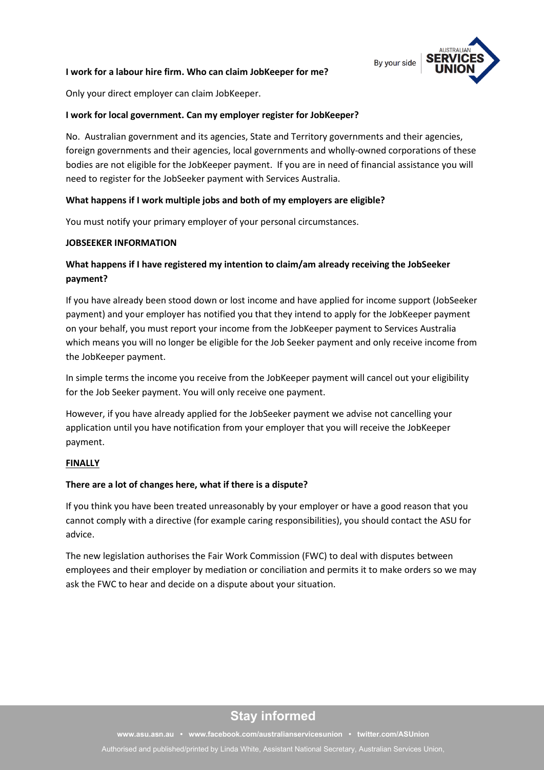#### **I work for a labour hire firm. Who can claim JobKeeper for me?**



Only your direct employer can claim JobKeeper.

#### **I work for local government. Can my employer register for JobKeeper?**

No. Australian government and its agencies, State and Territory governments and their agencies, foreign governments and their agencies, local governments and wholly-owned corporations of these bodies are not eligible for the JobKeeper payment. If you are in need of financial assistance you will need to register for the JobSeeker payment with Services Australia.

#### **What happens if I work multiple jobs and both of my employers are eligible?**

You must notify your primary employer of your personal circumstances.

#### **JOBSEEKER INFORMATION**

## **What happens if I have registered my intention to claim/am already receiving the JobSeeker payment?**

If you have already been stood down or lost income and have applied for income support (JobSeeker payment) and your employer has notified you that they intend to apply for the JobKeeper payment on your behalf, you must report your income from the JobKeeper payment to Services Australia which means you will no longer be eligible for the Job Seeker payment and only receive income from the JobKeeper payment.

In simple terms the income you receive from the JobKeeper payment will cancel out your eligibility for the Job Seeker payment. You will only receive one payment.

However, if you have already applied for the JobSeeker payment we advise not cancelling your application until you have notification from your employer that you will receive the JobKeeper payment.

#### **FINALLY**

#### **There are a lot of changes here, what if there is a dispute?**

If you think you have been treated unreasonably by your employer or have a good reason that you cannot comply with a directive (for example caring responsibilities), you should contact the ASU for advice.

The new legislation authorises the Fair Work Commission (FWC) to deal with disputes between employees and their employer by mediation or conciliation and permits it to make orders so we may ask the FWC to hear and decide on a dispute about your situation.

## **Stay informed**

**[www.asu.asn.au](http://www.asu.asn.au/airlines) • [www.facebook.com/australianservicesunion](http://www.facebook.com/australianservicesunion) • [twitter.com/ASUnion](https://twitter.com/ASUairlines)** Authorised and published/printed by Linda White, Assistant National Secretary, Australian Services Union,